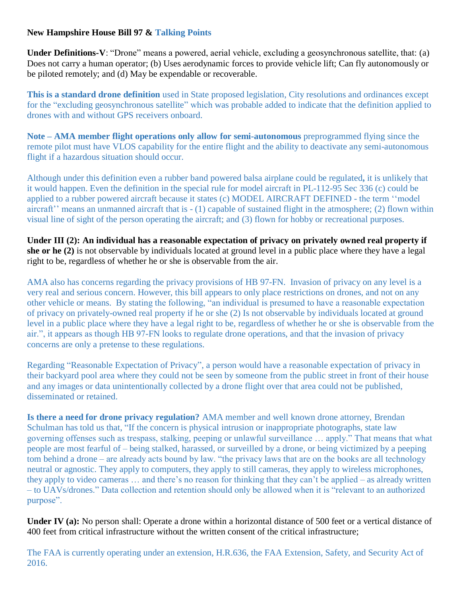## **New Hampshire House Bill 97 & Talking Points**

**Under Definitions-V**: "Drone" means a powered, aerial vehicle, excluding a geosynchronous satellite, that: (a) Does not carry a human operator; (b) Uses aerodynamic forces to provide vehicle lift; Can fly autonomously or be piloted remotely; and (d) May be expendable or recoverable.

**This is a standard drone definition** used in State proposed legislation, City resolutions and ordinances except for the "excluding geosynchronous satellite" which was probable added to indicate that the definition applied to drones with and without GPS receivers onboard.

**Note – AMA member flight operations only allow for semi-autonomous** preprogrammed flying since the remote pilot must have VLOS capability for the entire flight and the ability to deactivate any semi-autonomous flight if a hazardous situation should occur.

Although under this definition even a rubber band powered balsa airplane could be regulated**,** it is unlikely that it would happen. Even the definition in the special rule for model aircraft in PL-112-95 Sec 336 (c) could be applied to a rubber powered aircraft because it states (c) MODEL AIRCRAFT DEFINED - the term ''model aircraft'' means an unmanned aircraft that is - (1) capable of sustained flight in the atmosphere; (2) flown within visual line of sight of the person operating the aircraft; and (3) flown for hobby or recreational purposes.

**Under III (2): An individual has a reasonable expectation of privacy on privately owned real property if she or he (2)** is not observable by individuals located at ground level in a public place where they have a legal right to be, regardless of whether he or she is observable from the air.

AMA also has concerns regarding the privacy provisions of HB 97-FN. Invasion of privacy on any level is a very real and serious concern. However, this bill appears to only place restrictions on drones, and not on any other vehicle or means. By stating the following, "an individual is presumed to have a reasonable expectation of privacy on privately-owned real property if he or she (2) Is not observable by individuals located at ground level in a public place where they have a legal right to be, regardless of whether he or she is observable from the air.", it appears as though HB 97-FN looks to regulate drone operations, and that the invasion of privacy concerns are only a pretense to these regulations.

Regarding "Reasonable Expectation of Privacy", a person would have a reasonable expectation of privacy in their backyard pool area where they could not be seen by someone from the public street in front of their house and any images or data unintentionally collected by a drone flight over that area could not be published, disseminated or retained.

**Is there a need for drone privacy regulation?** AMA member and well known drone attorney, Brendan Schulman has told us that, "If the concern is physical intrusion or inappropriate photographs, state law governing offenses such as trespass, stalking, peeping or unlawful surveillance … apply." That means that what people are most fearful of – being stalked, harassed, or surveilled by a drone, or being victimized by a peeping tom behind a drone – are already acts bound by law. "the privacy laws that are on the books are all technology neutral or agnostic. They apply to computers, they apply to still cameras, they apply to wireless microphones, they apply to video cameras … and there's no reason for thinking that they can't be applied – as already written – to UAVs/drones." Data collection and retention should only be allowed when it is "relevant to an authorized purpose".

**Under IV (a):** No person shall: Operate a drone within a horizontal distance of 500 feet or a vertical distance of 400 feet from critical infrastructure without the written consent of the critical infrastructure;

The FAA is currently operating under an extension, H.R.636, the FAA Extension, Safety, and Security Act of 2016.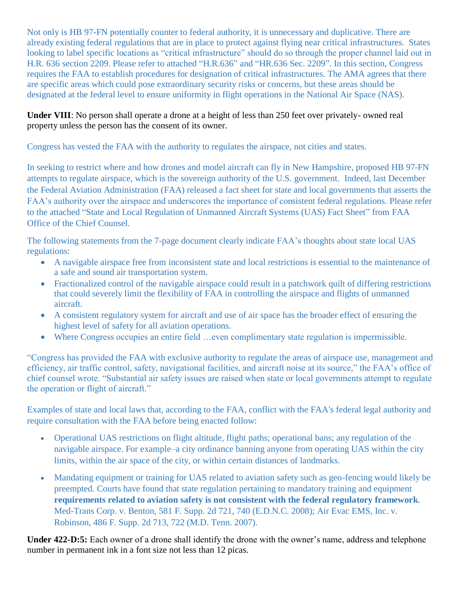Not only is HB 97-FN potentially counter to federal authority, it is unnecessary and duplicative. There are already existing federal regulations that are in place to protect against flying near critical infrastructures. States looking to label specific locations as "critical infrastructure" should do so through the proper channel laid out in H.R. 636 section 2209. Please refer to attached "H.R.636" and "HR.636 Sec. 2209". In this section, Congress requires the FAA to establish procedures for designation of critical infrastructures. The AMA agrees that there are specific areas which could pose extraordinary security risks or concerns, but these areas should be designated at the federal level to ensure uniformity in flight operations in the National Air Space (NAS).

## **Under VIII**: No person shall operate a drone at a height of less than 250 feet over privately- owned real property unless the person has the consent of its owner.

Congress has vested the FAA with the authority to regulates the airspace, not cities and states.

In seeking to restrict where and how drones and model aircraft can fly in New Hampshire, proposed HB 97-FN attempts to regulate airspace, which is the sovereign authority of the U.S. government. Indeed, last December the Federal Aviation Administration (FAA) released a fact sheet for state and local governments that asserts the FAA's authority over the airspace and underscores the importance of consistent federal regulations. Please refer to the attached "State and Local Regulation of Unmanned Aircraft Systems (UAS) Fact Sheet" from FAA Office of the Chief Counsel.

The following statements from the 7-page document clearly indicate FAA's thoughts about state local UAS regulations:

- A navigable airspace free from inconsistent state and local restrictions is essential to the maintenance of a safe and sound air transportation system.
- Fractionalized control of the navigable airspace could result in a patchwork quilt of differing restrictions that could severely limit the flexibility of FAA in controlling the airspace and flights of unmanned aircraft.
- A consistent regulatory system for aircraft and use of air space has the broader effect of ensuring the highest level of safety for all aviation operations.
- Where Congress occupies an entire field …even complimentary state regulation is impermissible.

"Congress has provided the FAA with exclusive authority to regulate the areas of airspace use, management and efficiency, air traffic control, safety, navigational facilities, and aircraft noise at its source," the FAA's office of chief counsel wrote. "Substantial air safety issues are raised when state or local governments attempt to regulate the operation or flight of aircraft."

Examples of state and local laws that, according to the FAA, conflict with the FAA's federal legal authority and require consultation with the FAA before being enacted follow:

- Operational UAS restrictions on flight altitude, flight paths; operational bans; any regulation of the navigable airspace. For example–a city ordinance banning anyone from operating UAS within the city limits, within the air space of the city, or within certain distances of landmarks.
- Mandating equipment or training for UAS related to aviation safety such as geo-fencing would likely be preempted. Courts have found that state regulation pertaining to mandatory training and equipment **requirements related to aviation safety is not consistent with the federal regulatory framework**. Med-Trans Corp. v. Benton, 581 F. Supp. 2d 721, 740 (E.D.N.C. 2008); Air Evac EMS, Inc. v. Robinson, 486 F. Supp. 2d 713, 722 (M.D. Tenn. 2007).

**Under 422-D:5:** Each owner of a drone shall identify the drone with the owner's name, address and telephone number in permanent ink in a font size not less than 12 picas.